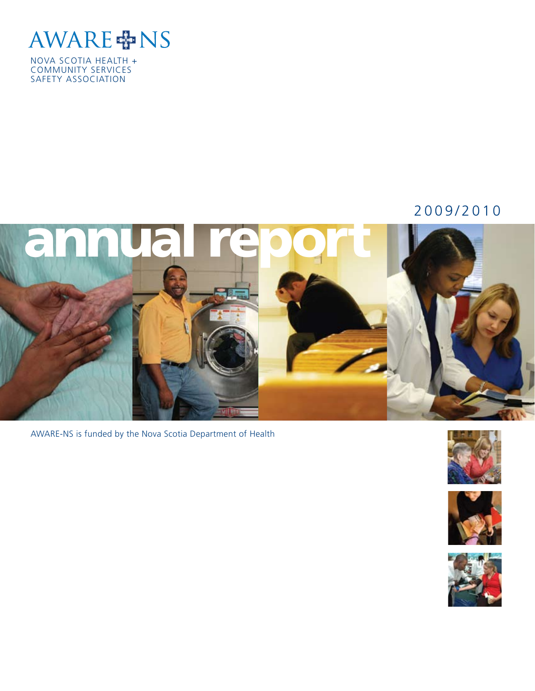

NOVA SCOTIA HEALTH + COMMUNITY SERVICES SAFETY ASSOCIATION

#### 2009/2010



AWARE-NS is funded by the Nova Scotia Department of Health





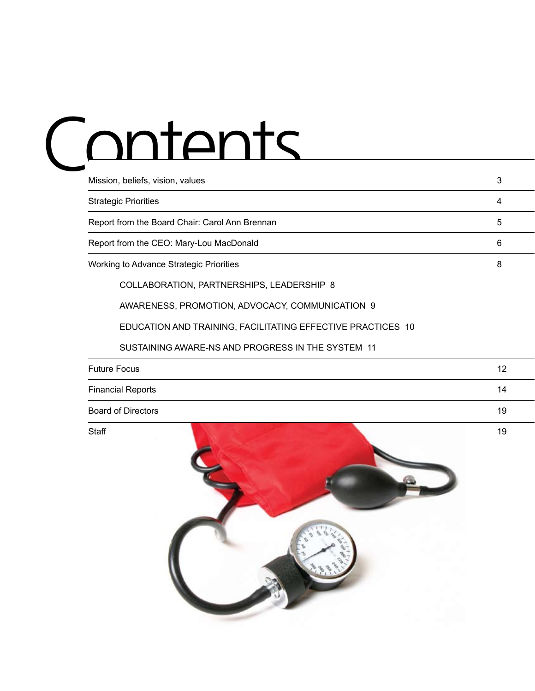## Contents

| Mission, beliefs, vision, values               | 3 |
|------------------------------------------------|---|
| <b>Strategic Priorities</b>                    | 4 |
| Report from the Board Chair: Carol Ann Brennan | 5 |
| Report from the CEO: Mary-Lou MacDonald        | 6 |
| Working to Advance Strategic Priorities        | 8 |
| COLLABORATION, PARTNERSHIPS, LEADERSHIP 8      |   |
|                                                |   |

AWARENESS, PROMOTION, ADVOCACY, COMMUNICATION 9

EDUCATION AND TRAINING, FACILITATING EFFECTIVE PRACTICES 10

#### SUSTAINING AWARE-NS AND PROGRESS IN THE SYSTEM 11

| <b>Future Focus</b>       | 12 |
|---------------------------|----|
| <b>Financial Reports</b>  | 14 |
| <b>Board of Directors</b> | 19 |

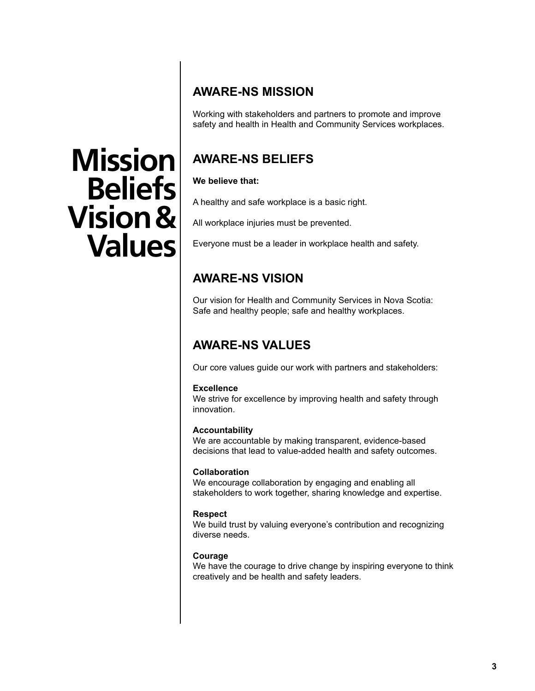#### **AWARE-NS MISSION**

Working with stakeholders and partners to promote and improve safety and health in Health and Community Services workplaces.

#### **AWARE-NS BELIEFS**

#### **We believe that:**

A healthy and safe workplace is a basic right.

All workplace injuries must be prevented.

Everyone must be a leader in workplace health and safety.

#### **AWARE-NS VISION**

Our vision for Health and Community Services in Nova Scotia: Safe and healthy people; safe and healthy workplaces.

#### **AWARE-NS VALUES**

Our core values guide our work with partners and stakeholders:

#### **Excellence**

We strive for excellence by improving health and safety through innovation.

#### **Accountability**

We are accountable by making transparent, evidence-based decisions that lead to value-added health and safety outcomes.

#### **Collaboration**

We encourage collaboration by engaging and enabling all stakeholders to work together, sharing knowledge and expertise.

#### **Respect**

We build trust by valuing everyone's contribution and recognizing diverse needs.

#### **Courage**

We have the courage to drive change by inspiring everyone to think creatively and be health and safety leaders.

## **Mission Beliefs Vision & Values**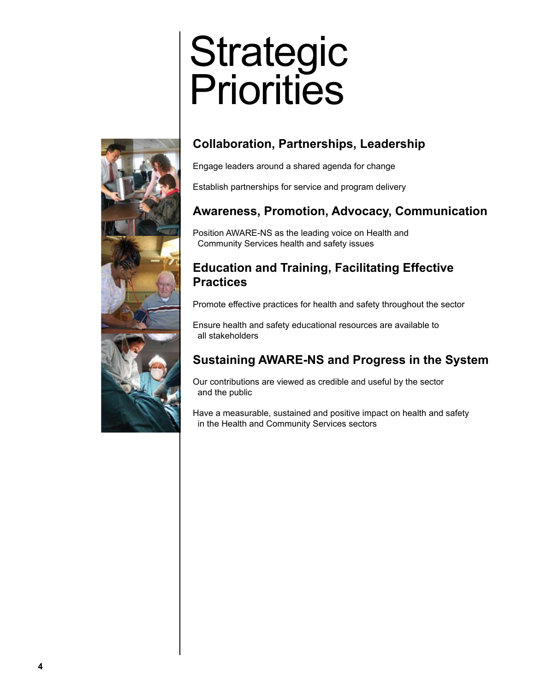## **Strategic Priorities**



#### **Collaboration, Partnerships, Leadership**

Engage leaders around a shared agenda for change

Establish partnerships for service and program delivery

#### **Awareness, Promotion, Advocacy, Communication**

Position AWARE-NS as the leading voice on Health and Community Services health and safety issues

#### **Education and Training, Facilitating Effective Practices**

Promote effective practices for health and safety throughout the sector

Ensure health and safety educational resources are available to all stakeholders

#### **Sustaining AWARE-NS and Progress in the System**

Our contributions are viewed as credible and useful by the sector and the public

Have a measurable, sustained and positive impact on health and safety in the Health and Community Services sectors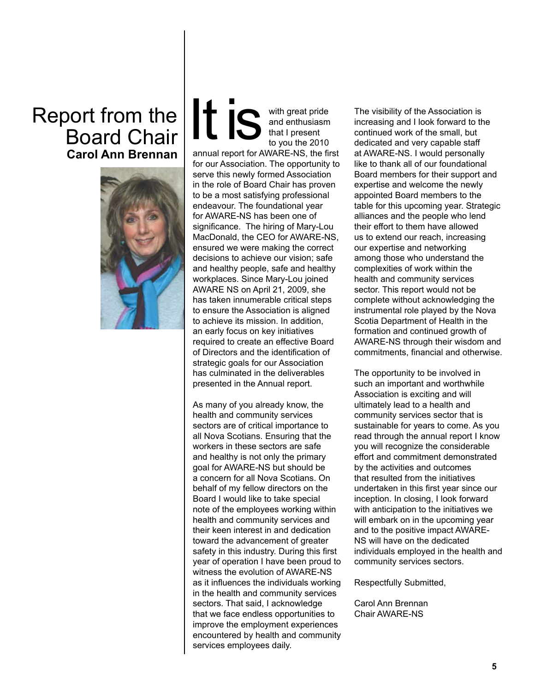### Report from the Board Chair **Carol Ann Brennan**



with great pride and enthusiasm that I present to you the 2010 It is

annual report for AWARE-NS, the first for our Association. The opportunity to serve this newly formed Association in the role of Board Chair has proven to be a most satisfying professional endeavour. The foundational year for AWARE-NS has been one of significance. The hiring of Mary-Lou MacDonald, the CEO for AWARE-NS, ensured we were making the correct decisions to achieve our vision; safe and healthy people, safe and healthy workplaces. Since Mary-Lou joined AWARE NS on April 21, 2009, she has taken innumerable critical steps to ensure the Association is aligned to achieve its mission. In addition, an early focus on key initiatives required to create an effective Board of Directors and the identification of strategic goals for our Association has culminated in the deliverables presented in the Annual report.

As many of you already know, the health and community services sectors are of critical importance to all Nova Scotians. Ensuring that the workers in these sectors are safe and healthy is not only the primary goal for AWARE-NS but should be a concern for all Nova Scotians. On behalf of my fellow directors on the Board I would like to take special note of the employees working within health and community services and their keen interest in and dedication toward the advancement of greater safety in this industry. During this first year of operation I have been proud to witness the evolution of AWARE-NS as it influences the individuals working in the health and community services sectors. That said, I acknowledge that we face endless opportunities to improve the employment experiences encountered by health and community services employees daily.

The visibility of the Association is increasing and I look forward to the continued work of the small, but dedicated and very capable staff at AWARE-NS. I would personally like to thank all of our foundational Board members for their support and expertise and welcome the newly appointed Board members to the table for this upcoming year. Strategic alliances and the people who lend their effort to them have allowed us to extend our reach, increasing our expertise and networking among those who understand the complexities of work within the health and community services sector. This report would not be complete without acknowledging the instrumental role played by the Nova Scotia Department of Health in the formation and continued growth of AWARE-NS through their wisdom and commitments, financial and otherwise.

The opportunity to be involved in such an important and worthwhile Association is exciting and will ultimately lead to a health and community services sector that is sustainable for years to come. As you read through the annual report I know you will recognize the considerable effort and commitment demonstrated by the activities and outcomes that resulted from the initiatives undertaken in this first year since our inception. In closing, I look forward with anticipation to the initiatives we will embark on in the upcoming year and to the positive impact AWARE-NS will have on the dedicated individuals employed in the health and community services sectors.

Respectfully Submitted,

Carol Ann Brennan Chair AWARE-NS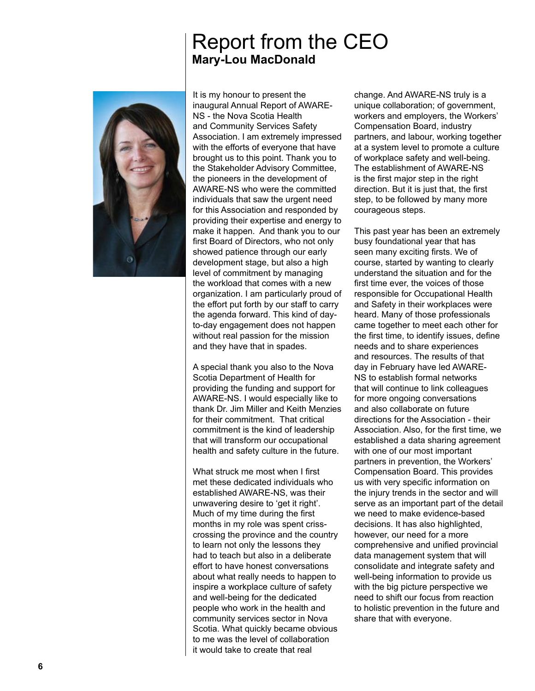#### Report from the CEO **Mary-Lou MacDonald**



It is my honour to present the inaugural Annual Report of AWARE-NS - the Nova Scotia Health and Community Services Safety Association. I am extremely impressed with the efforts of everyone that have brought us to this point. Thank you to the Stakeholder Advisory Committee, the pioneers in the development of AWARE-NS who were the committed individuals that saw the urgent need for this Association and responded by providing their expertise and energy to make it happen. And thank you to our first Board of Directors, who not only showed patience through our early development stage, but also a high level of commitment by managing the workload that comes with a new organization. I am particularly proud of the effort put forth by our staff to carry the agenda forward. This kind of dayto-day engagement does not happen without real passion for the mission and they have that in spades.

A special thank you also to the Nova Scotia Department of Health for providing the funding and support for AWARE-NS. I would especially like to thank Dr. Jim Miller and Keith Menzies for their commitment. That critical commitment is the kind of leadership that will transform our occupational health and safety culture in the future.

What struck me most when I first met these dedicated individuals who established AWARE-NS, was their unwavering desire to 'get it right'. Much of my time during the first months in my role was spent crisscrossing the province and the country to learn not only the lessons they had to teach but also in a deliberate effort to have honest conversations about what really needs to happen to inspire a workplace culture of safety and well-being for the dedicated people who work in the health and community services sector in Nova Scotia. What quickly became obvious to me was the level of collaboration it would take to create that real

change. And AWARE-NS truly is a unique collaboration; of government, workers and employers, the Workers' Compensation Board, industry partners, and labour, working together at a system level to promote a culture of workplace safety and well-being. The establishment of AWARE-NS is the first major step in the right direction. But it is just that, the first step, to be followed by many more courageous steps.

This past year has been an extremely busy foundational year that has seen many exciting firsts. We of course, started by wanting to clearly understand the situation and for the first time ever, the voices of those responsible for Occupational Health and Safety in their workplaces were heard. Many of those professionals came together to meet each other for the first time, to identify issues, define needs and to share experiences and resources. The results of that day in February have led AWARE-NS to establish formal networks that will continue to link colleagues for more ongoing conversations and also collaborate on future directions for the Association - their Association. Also, for the first time, we established a data sharing agreement with one of our most important partners in prevention, the Workers' Compensation Board. This provides us with very specific information on the injury trends in the sector and will serve as an important part of the detail we need to make evidence-based decisions. It has also highlighted, however, our need for a more comprehensive and unified provincial data management system that will consolidate and integrate safety and well-being information to provide us with the big picture perspective we need to shift our focus from reaction to holistic prevention in the future and share that with everyone.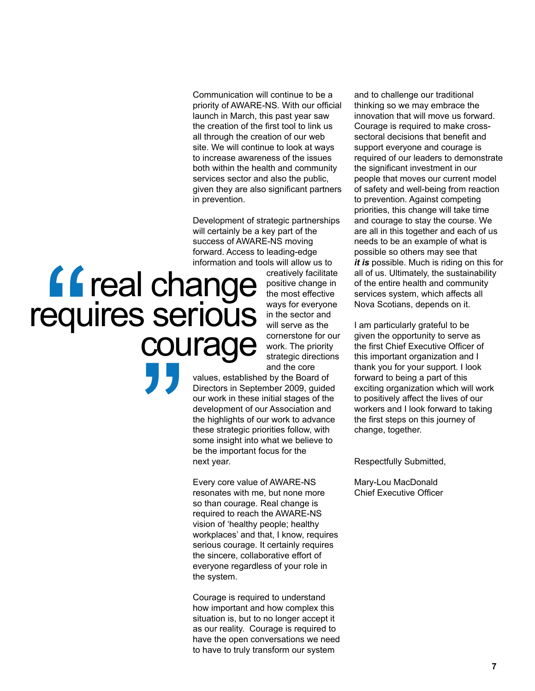Communication will continue to be a priority of AWARE-NS. With our official launch in March, this past year saw the creation of the first tool to link us all through the creation of our web site. We will continue to look at ways to increase awareness of the issues both within the health and community services sector and also the public, given they are also significant partners in prevention.

Development of strategic partnerships will certainly be a key part of the success of AWARE-NS moving forward. Access to leading-edge information and tools will allow us to

# **66** real change<br>requires serious<br>courage

creatively facilitate positive change in the most effective ways for everyone in the sector and will serve as the cornerstone for our work. The priority strategic directions and the core

values, established by the Board of Directors in September 2009, guided our work in these initial stages of the development of our Association and the highlights of our work to advance these strategic priorities follow, with some insight into what we believe to be the important focus for the next year.

Every core value of AWARE-NS resonates with me, but none more so than courage. Real change is required to reach the AWARE-NS vision of 'healthy people; healthy workplaces' and that, I know, requires serious courage. It certainly requires the sincere, collaborative effort of everyone regardless of your role in the system.

Courage is required to understand how important and how complex this situation is, but to no longer accept it as our reality. Courage is required to have the open conversations we need to have to truly transform our system

and to challenge our traditional thinking so we may embrace the innovation that will move us forward. Courage is required to make crosssectoral decisions that benefit and support everyone and courage is required of our leaders to demonstrate the significant investment in our people that moves our current model of safety and well-being from reaction to prevention. Against competing priorities, this change will take time and courage to stay the course. We are all in this together and each of us needs to be an example of what is possible so others may see that *it is* possible. Much is riding on this for all of us. Ultimately, the sustainability of the entire health and community services system, which affects all Nova Scotians, depends on it.

I am particularly grateful to be given the opportunity to serve as the first Chief Executive Officer of this important organization and I thank you for your support. I look forward to being a part of this exciting organization which will work to positively affect the lives of our workers and I look forward to taking the first steps on this journey of change, together.

Respectfully Submitted,

Mary-Lou MacDonald Chief Executive Officer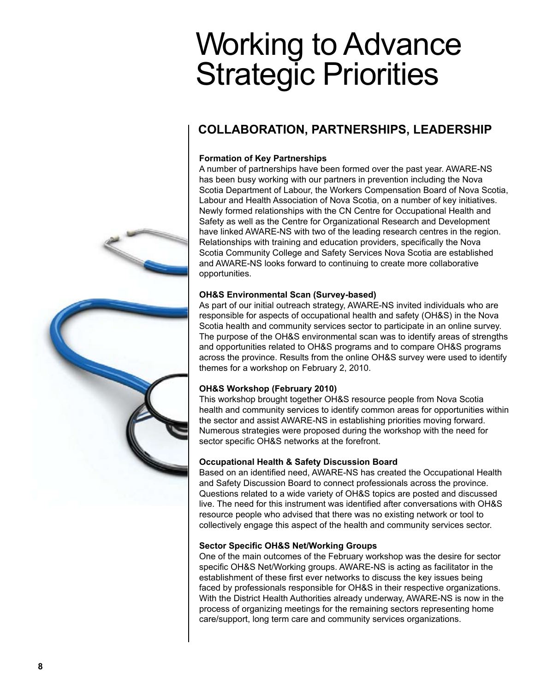## Working to Advance Strategic Priorities

#### **COLLABORATION, PARTNERSHIPS, LEADERSHIP**

#### **Formation of Key Partnerships**

A number of partnerships have been formed over the past year. AWARE-NS has been busy working with our partners in prevention including the Nova Scotia Department of Labour, the Workers Compensation Board of Nova Scotia, Labour and Health Association of Nova Scotia, on a number of key initiatives. Newly formed relationships with the CN Centre for Occupational Health and Safety as well as the Centre for Organizational Research and Development have linked AWARE-NS with two of the leading research centres in the region. Relationships with training and education providers, specifically the Nova Scotia Community College and Safety Services Nova Scotia are established and AWARE-NS looks forward to continuing to create more collaborative opportunities.

#### **OH&S Environmental Scan (Survey-based)**

As part of our initial outreach strategy, AWARE-NS invited individuals who are responsible for aspects of occupational health and safety (OH&S) in the Nova Scotia health and community services sector to participate in an online survey. The purpose of the OH&S environmental scan was to identify areas of strengths and opportunities related to OH&S programs and to compare OH&S programs across the province. Results from the online OH&S survey were used to identify themes for a workshop on February 2, 2010.

#### **OH&S Workshop (February 2010)**

This workshop brought together OH&S resource people from Nova Scotia health and community services to identify common areas for opportunities within the sector and assist AWARE-NS in establishing priorities moving forward. Numerous strategies were proposed during the workshop with the need for sector specific OH&S networks at the forefront.

#### **Occupational Health & Safety Discussion Board**

Based on an identified need, AWARE-NS has created the Occupational Health and Safety Discussion Board to connect professionals across the province. Questions related to a wide variety of OH&S topics are posted and discussed live. The need for this instrument was identified after conversations with OH&S resource people who advised that there was no existing network or tool to collectively engage this aspect of the health and community services sector.

#### **Sector Specific OH&S Net/Working Groups**

One of the main outcomes of the February workshop was the desire for sector specific OH&S Net/Working groups. AWARE-NS is acting as facilitator in the establishment of these first ever networks to discuss the key issues being faced by professionals responsible for OH&S in their respective organizations. With the District Health Authorities already underway, AWARE-NS is now in the process of organizing meetings for the remaining sectors representing home care/support, long term care and community services organizations.

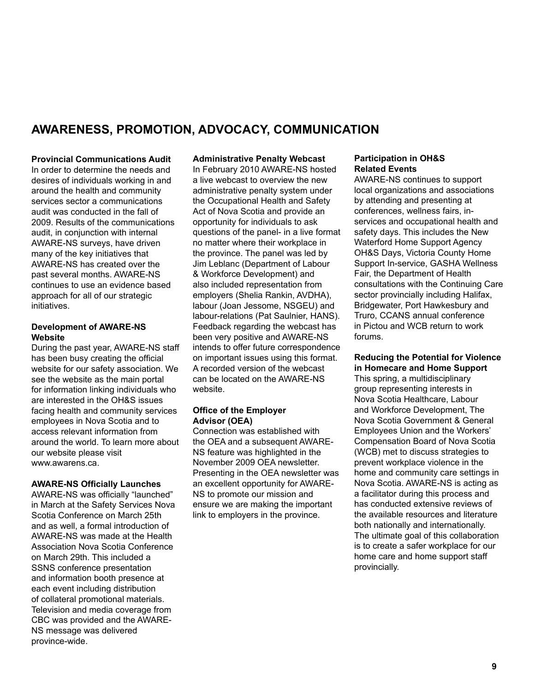#### **AWARENESS, PROMOTION, ADVOCACY, COMMUNICATION**

#### **Provincial Communications Audit** In order to determine the needs and desires of individuals working in and around the health and community services sector a communications audit was conducted in the fall of 2009. Results of the communications audit, in conjunction with internal AWARE-NS surveys, have driven many of the key initiatives that AWARE-NS has created over the past several months. AWARE-NS continues to use an evidence based approach for all of our strategic initiatives.

#### **Development of AWARE-NS Website**

During the past year, AWARE-NS staff has been busy creating the official website for our safety association. We see the website as the main portal for information linking individuals who are interested in the OH&S issues facing health and community services employees in Nova Scotia and to access relevant information from around the world. To learn more about our website please visit www.awarens.ca.

#### **AWARE-NS Officially Launches**

AWARE-NS was officially "launched" in March at the Safety Services Nova Scotia Conference on March 25th and as well, a formal introduction of AWARE-NS was made at the Health Association Nova Scotia Conference on March 29th. This included a SSNS conference presentation and information booth presence at each event including distribution of collateral promotional materials. Television and media coverage from CBC was provided and the AWARE-NS message was delivered province-wide.

#### **Administrative Penalty Webcast**

In February 2010 AWARE-NS hosted a live webcast to overview the new administrative penalty system under the Occupational Health and Safety Act of Nova Scotia and provide an opportunity for individuals to ask questions of the panel- in a live format no matter where their workplace in the province. The panel was led by Jim Leblanc (Department of Labour & Workforce Development) and also included representation from employers (Shelia Rankin, AVDHA), labour (Joan Jessome, NSGEU) and labour-relations (Pat Saulnier, HANS). Feedback regarding the webcast has been very positive and AWARE-NS intends to offer future correspondence on important issues using this format. A recorded version of the webcast can be located on the AWARE-NS website.

#### **Office of the Employer Advisor (OEA)**

Connection was established with the OEA and a subsequent AWARE-NS feature was highlighted in the November 2009 OEA newsletter. Presenting in the OEA newsletter was an excellent opportunity for AWARE-NS to promote our mission and ensure we are making the important link to employers in the province.

#### **Participation in OH&S Related Events**

AWARE-NS continues to support local organizations and associations by attending and presenting at conferences, wellness fairs, inservices and occupational health and safety days. This includes the New Waterford Home Support Agency OH&S Days, Victoria County Home Support In-service, GASHA Wellness Fair, the Department of Health consultations with the Continuing Care sector provincially including Halifax. Bridgewater, Port Hawkesbury and Truro, CCANS annual conference in Pictou and WCB return to work forums.

#### **Reducing the Potential for Violence in Homecare and Home Support**

This spring, a multidisciplinary group representing interests in Nova Scotia Healthcare, Labour and Workforce Development, The Nova Scotia Government & General Employees Union and the Workers' Compensation Board of Nova Scotia (WCB) met to discuss strategies to prevent workplace violence in the home and community care settings in Nova Scotia. AWARE-NS is acting as a facilitator during this process and has conducted extensive reviews of the available resources and literature both nationally and internationally. The ultimate goal of this collaboration is to create a safer workplace for our home care and home support staff provincially.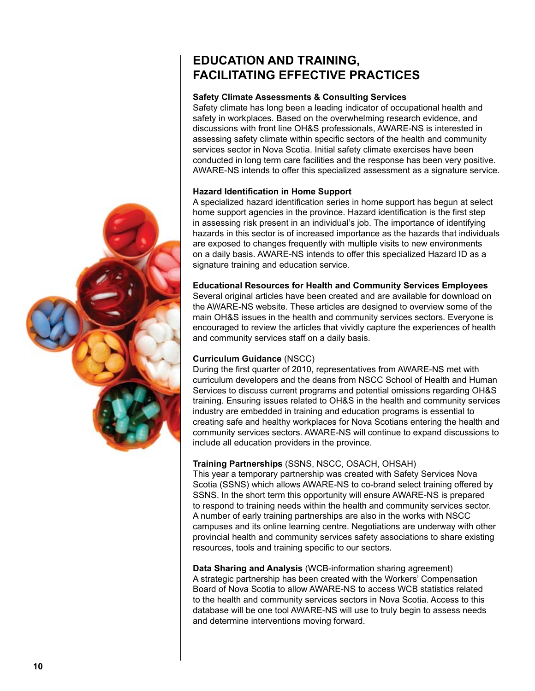#### **EDUCATION AND TRAINING, FACILITATING EFFECTIVE PRACTICES**

#### **Safety Climate Assessments & Consulting Services**

Safety climate has long been a leading indicator of occupational health and safety in workplaces. Based on the overwhelming research evidence, and discussions with front line OH&S professionals, AWARE-NS is interested in assessing safety climate within specific sectors of the health and community services sector in Nova Scotia. Initial safety climate exercises have been conducted in long term care facilities and the response has been very positive. AWARE-NS intends to offer this specialized assessment as a signature service.

#### **Hazard Identification in Home Support**

A specialized hazard identification series in home support has begun at select home support agencies in the province. Hazard identification is the first step in assessing risk present in an individual's job. The importance of identifying hazards in this sector is of increased importance as the hazards that individuals are exposed to changes frequently with multiple visits to new environments on a daily basis. AWARE-NS intends to offer this specialized Hazard ID as a signature training and education service.

#### **Educational Resources for Health and Community Services Employees**

Several original articles have been created and are available for download on the AWARE-NS website. These articles are designed to overview some of the main OH&S issues in the health and community services sectors. Everyone is encouraged to review the articles that vividly capture the experiences of health and community services staff on a daily basis.

#### **Curriculum Guidance** (NSCC)

During the first quarter of 2010, representatives from AWARE-NS met with curriculum developers and the deans from NSCC School of Health and Human Services to discuss current programs and potential omissions regarding OH&S training. Ensuring issues related to OH&S in the health and community services industry are embedded in training and education programs is essential to creating safe and healthy workplaces for Nova Scotians entering the health and community services sectors. AWARE-NS will continue to expand discussions to include all education providers in the province.

#### **Training Partnerships** (SSNS, NSCC, OSACH, OHSAH)

This year a temporary partnership was created with Safety Services Nova Scotia (SSNS) which allows AWARE-NS to co-brand select training offered by SSNS. In the short term this opportunity will ensure AWARE-NS is prepared to respond to training needs within the health and community services sector. A number of early training partnerships are also in the works with NSCC campuses and its online learning centre. Negotiations are underway with other provincial health and community services safety associations to share existing resources, tools and training specific to our sectors.

**Data Sharing and Analysis** (WCB-information sharing agreement) A strategic partnership has been created with the Workers' Compensation Board of Nova Scotia to allow AWARE-NS to access WCB statistics related to the health and community services sectors in Nova Scotia. Access to this database will be one tool AWARE-NS will use to truly begin to assess needs and determine interventions moving forward.

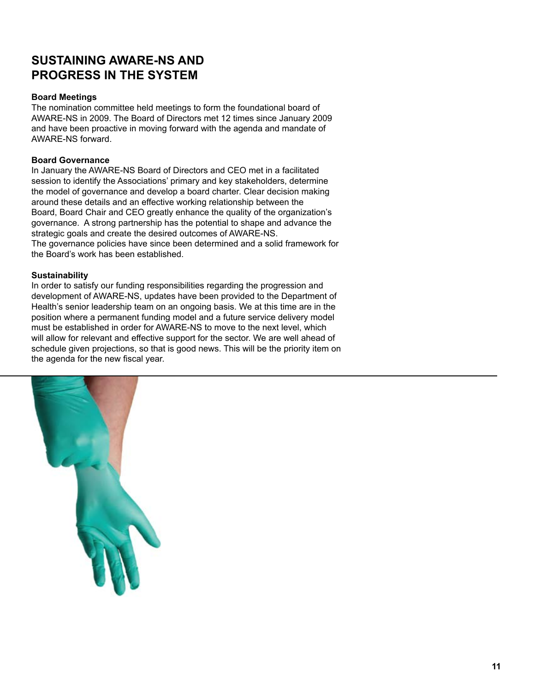#### **SUSTAINING AWARE-NS AND PROGRESS IN THE SYSTEM**

#### **Board Meetings**

The nomination committee held meetings to form the foundational board of AWARE-NS in 2009. The Board of Directors met 12 times since January 2009 and have been proactive in moving forward with the agenda and mandate of AWARE-NS forward.

#### **Board Governance**

In January the AWARE-NS Board of Directors and CEO met in a facilitated session to identify the Associations' primary and key stakeholders, determine the model of governance and develop a board charter. Clear decision making around these details and an effective working relationship between the Board, Board Chair and CEO greatly enhance the quality of the organization's governance. A strong partnership has the potential to shape and advance the strategic goals and create the desired outcomes of AWARE-NS. The governance policies have since been determined and a solid framework for

the Board's work has been established.

#### **Sustainability**

In order to satisfy our funding responsibilities regarding the progression and development of AWARE-NS, updates have been provided to the Department of Health's senior leadership team on an ongoing basis. We at this time are in the position where a permanent funding model and a future service delivery model must be established in order for AWARE-NS to move to the next level, which will allow for relevant and effective support for the sector. We are well ahead of schedule given projections, so that is good news. This will be the priority item on the agenda for the new fiscal year.

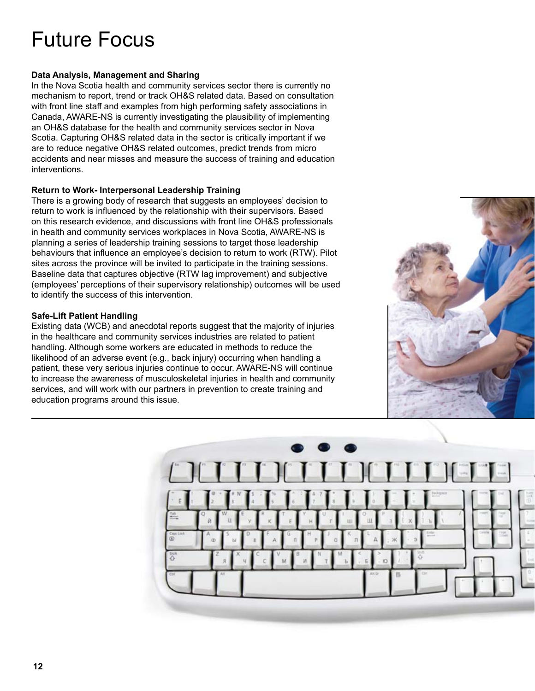## Future Focus

#### **Data Analysis, Management and Sharing**

In the Nova Scotia health and community services sector there is currently no mechanism to report, trend or track OH&S related data. Based on consultation with front line staff and examples from high performing safety associations in Canada, AWARE-NS is currently investigating the plausibility of implementing an OH&S database for the health and community services sector in Nova Scotia. Capturing OH&S related data in the sector is critically important if we are to reduce negative OH&S related outcomes, predict trends from micro accidents and near misses and measure the success of training and education interventions.

#### **Return to Work- Interpersonal Leadership Training**

There is a growing body of research that suggests an employees' decision to return to work is influenced by the relationship with their supervisors. Based on this research evidence, and discussions with front line OH&S professionals in health and community services workplaces in Nova Scotia, AWARE-NS is planning a series of leadership training sessions to target those leadership behaviours that influence an employee's decision to return to work (RTW). Pilot sites across the province will be invited to participate in the training sessions. Baseline data that captures objective (RTW lag improvement) and subjective (employees' perceptions of their supervisory relationship) outcomes will be used to identify the success of this intervention.

#### **Safe-Lift Patient Handling**

Existing data (WCB) and anecdotal reports suggest that the majority of injuries in the healthcare and community services industries are related to patient handling. Although some workers are educated in methods to reduce the likelihood of an adverse event (e.g., back injury) occurring when handling a patient, these very serious injuries continue to occur. AWARE-NS will continue to increase the awareness of musculoskeletal injuries in health and community services, and will work with our partners in prevention to create training and education programs around this issue.



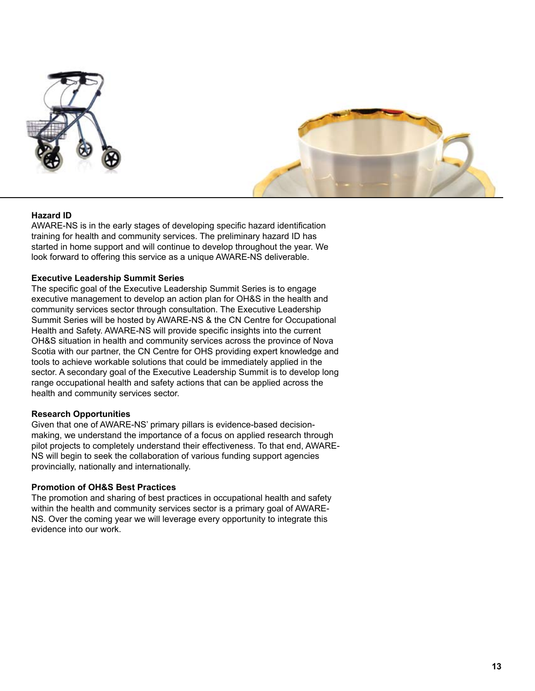



#### **Hazard ID**

AWARE-NS is in the early stages of developing specific hazard identification training for health and community services. The preliminary hazard ID has started in home support and will continue to develop throughout the year. We look forward to offering this service as a unique AWARE-NS deliverable.

#### **Executive Leadership Summit Series**

The specific goal of the Executive Leadership Summit Series is to engage executive management to develop an action plan for OH&S in the health and community services sector through consultation. The Executive Leadership Summit Series will be hosted by AWARE-NS & the CN Centre for Occupational Health and Safety. AWARE-NS will provide specific insights into the current OH&S situation in health and community services across the province of Nova Scotia with our partner, the CN Centre for OHS providing expert knowledge and tools to achieve workable solutions that could be immediately applied in the sector. A secondary goal of the Executive Leadership Summit is to develop long range occupational health and safety actions that can be applied across the health and community services sector.

#### **Research Opportunities**

Given that one of AWARE-NS' primary pillars is evidence-based decisionmaking, we understand the importance of a focus on applied research through pilot projects to completely understand their effectiveness. To that end, AWARE-NS will begin to seek the collaboration of various funding support agencies provincially, nationally and internationally.

#### **Promotion of OH&S Best Practices**

The promotion and sharing of best practices in occupational health and safety within the health and community services sector is a primary goal of AWARE-NS. Over the coming year we will leverage every opportunity to integrate this evidence into our work.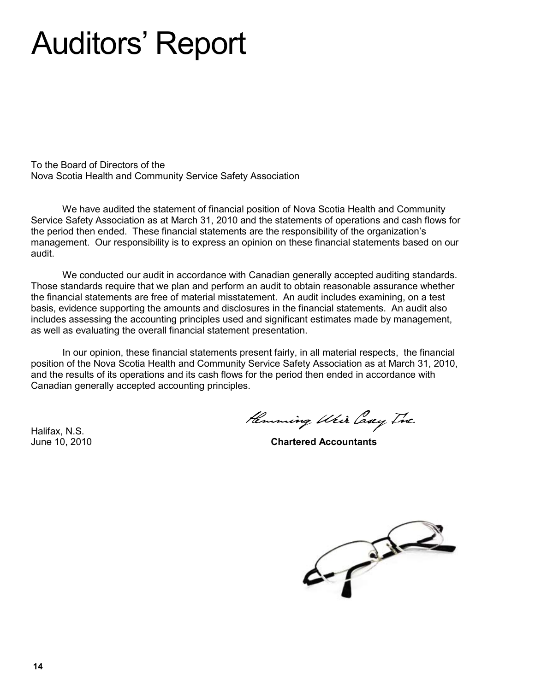## Auditors' Report

To the Board of Directors of the Nova Scotia Health and Community Service Safety Association

We have audited the statement of financial position of Nova Scotia Health and Community Service Safety Association as at March 31, 2010 and the statements of operations and cash flows for the period then ended. These financial statements are the responsibility of the organization's management. Our responsibility is to express an opinion on these financial statements based on our audit.

We conducted our audit in accordance with Canadian generally accepted auditing standards. Those standards require that we plan and perform an audit to obtain reasonable assurance whether the financial statements are free of material misstatement. An audit includes examining, on a test basis, evidence supporting the amounts and disclosures in the financial statements. An audit also includes assessing the accounting principles used and significant estimates made by management, as well as evaluating the overall financial statement presentation.

In our opinion, these financial statements present fairly, in all material respects, the financial position of the Nova Scotia Health and Community Service Safety Association as at March 31, 2010, and the results of its operations and its cash flows for the period then ended in accordance with Canadian generally accepted accounting principles.

Halifax, N.S.

Hemming Weir Casey Inc.

June 10, 2010 **Chartered Accountants**

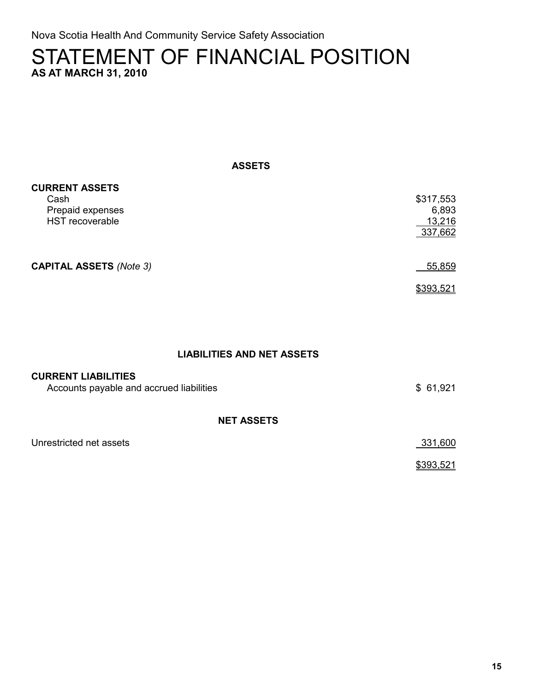Nova Scotia Health And Community Service Safety Association

#### STATEMENT OF FINANCIAL POSITION **AS AT MARCH 31, 2010**

**ASSETS**

| <b>CURRENT ASSETS</b>          |           |
|--------------------------------|-----------|
| Cash                           | \$317,553 |
| Prepaid expenses               | 6,893     |
| HST recoverable                | 13,216    |
|                                | 337,662   |
|                                |           |
| <b>CAPITAL ASSETS (Note 3)</b> | 55,859    |
|                                | \$393,521 |

#### **LIABILITIES AND NET ASSETS**

| <b>CURRENT LIABILITIES</b><br>Accounts payable and accrued liabilities | \$61,921  |
|------------------------------------------------------------------------|-----------|
| <b>NET ASSETS</b>                                                      |           |
| Unrestricted net assets                                                | 331,600   |
|                                                                        | \$393,521 |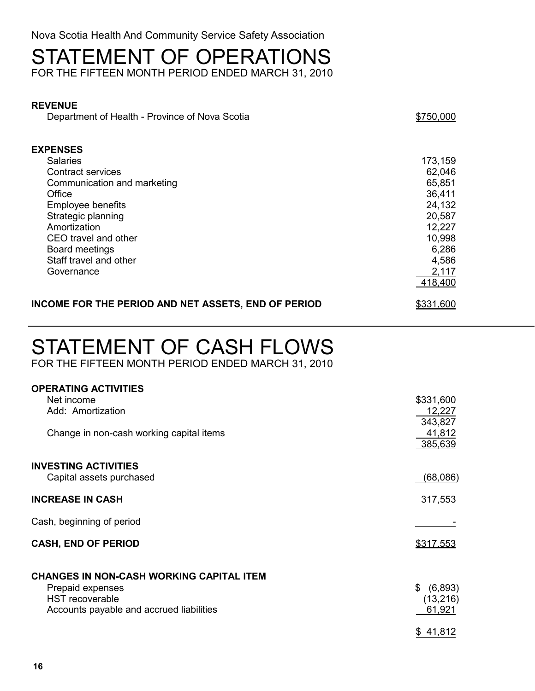Nova Scotia Health And Community Service Safety Association

## STATEMENT OF OPERATIONS

FOR THE FIFTEEN MONTH PERIOD ENDED MARCH 31, 2010

#### **REVENUE**

Department of Health - Province of Nova Scotia  $$750,000$ 

| <b>EXPENSES</b>                                     |                  |
|-----------------------------------------------------|------------------|
| <b>Salaries</b>                                     | 173,159          |
| <b>Contract services</b>                            | 62,046           |
| Communication and marketing                         | 65,851           |
| Office                                              | 36,411           |
| Employee benefits                                   | 24,132           |
| Strategic planning                                  | 20,587           |
| Amortization                                        | 12,227           |
| CEO travel and other                                | 10,998           |
| Board meetings                                      | 6,286            |
| Staff travel and other                              | 4,586            |
| Governance                                          | 2,117            |
|                                                     | 418,400          |
| INCOME FOR THE PERIOD AND NET ASSETS, END OF PERIOD | <u>\$331,600</u> |

**STATEMENT OF CASH FLOWS**

## STATEMENT OF CASH FLOWS

FOR THE FIFTEEN MONTH PERIOD ENDED MARCH 31, 2010

| \$331,600     |
|---------------|
| 12,227        |
| 343,827       |
| 41,812        |
| 385,639       |
|               |
|               |
|               |
| (68,086)      |
| 317,553       |
|               |
|               |
|               |
| \$317,553     |
|               |
|               |
|               |
| (6,893)<br>\$ |
| (13, 216)     |
| 61,921        |
|               |
| \$41,812      |
|               |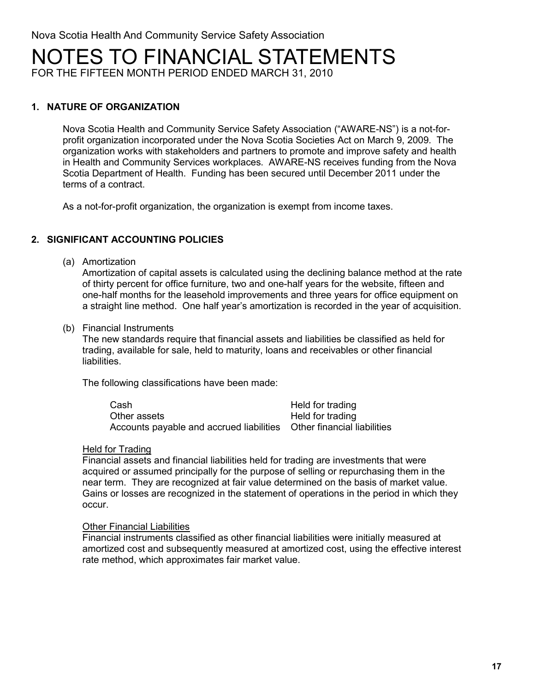## <code>NOTES TO</code> FINANCIAL STATEMENTS

FOR THE FIFTEEN MONTH PERIOD ENDED MARCH 31, 2010

#### **1. NATURE OF ORGANIZATION**

Nova Scotia Health and Community Service Safety Association ("AWARE-NS") is a not-forprofit organization incorporated under the Nova Scotia Societies Act on March 9, 2009. The organization works with stakeholders and partners to promote and improve safety and health in Health and Community Services workplaces. AWARE-NS receives funding from the Nova Scotia Department of Health. Funding has been secured until December 2011 under the terms of a contract.

As a not-for-profit organization, the organization is exempt from income taxes.

#### **2. SIGNIFICANT ACCOUNTING POLICIES**

(a) Amortization

Amortization of capital assets is calculated using the declining balance method at the rate of thirty percent for office furniture, two and one-half years for the website, fifteen and one-half months for the leasehold improvements and three years for office equipment on a straight line method. One half year's amortization is recorded in the year of acquisition.

(b) Financial Instruments

The new standards require that financial assets and liabilities be classified as held for trading, available for sale, held to maturity, loans and receivables or other financial liabilities.

The following classifications have been made:

| Cash                                                                 | Held for trading |
|----------------------------------------------------------------------|------------------|
| Other assets                                                         | Held for trading |
| Accounts payable and accrued liabilities Other financial liabilities |                  |

#### Held for Trading

Financial assets and financial liabilities held for trading are investments that were acquired or assumed principally for the purpose of selling or repurchasing them in the near term. They are recognized at fair value determined on the basis of market value. Gains or losses are recognized in the statement of operations in the period in which they occur.

#### Other Financial Liabilities

Financial instruments classified as other financial liabilities were initially measured at amortized cost and subsequently measured at amortized cost, using the effective interest rate method, which approximates fair market value.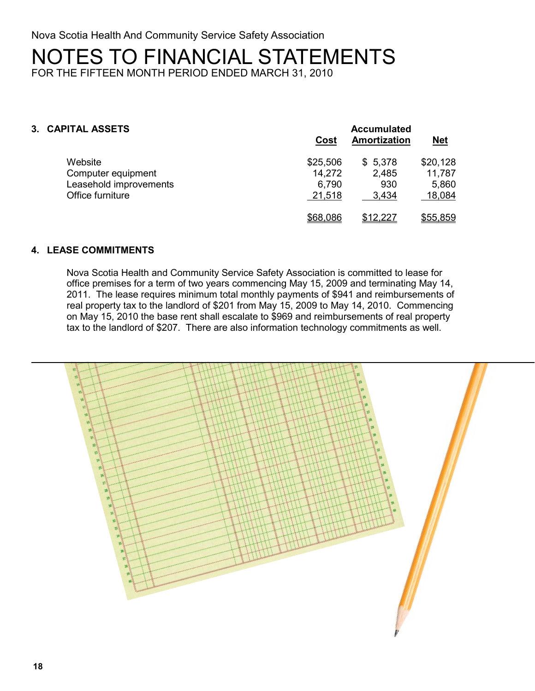## **NOTES TO FINANCIAL STATEMENTS** NOTES TO FINANCIAL STATEMENTS

FOR THE FIFTEEN MONTH PERIOD ENDED MARCH 31, 2010

#### **3. CAPITAL ASSETS Accumulated**

|                        | Cost     | Amortization | <u>Net</u> |
|------------------------|----------|--------------|------------|
| Website                | \$25,506 | \$5,378      | \$20,128   |
| Computer equipment     | 14,272   | 2,485        | 11,787     |
| Leasehold improvements | 6,790    | 930          | 5,860      |
| Office furniture       | 21,518   | 3.434        | 18,084     |
|                        | \$68,086 | \$12,227     | \$55,859   |

#### **4. LEASE COMMITMENTS**

Nova Scotia Health and Community Service Safety Association is committed to lease for office premises for a term of two years commencing May 15, 2009 and terminating May 14, 2011. The lease requires minimum total monthly payments of \$941 and reimbursements of real property tax to the landlord of \$201 from May 15, 2009 to May 14, 2010. Commencing on May 15, 2010 the base rent shall escalate to \$969 and reimbursements of real property tax to the landlord of \$207. There are also information technology commitments as well.

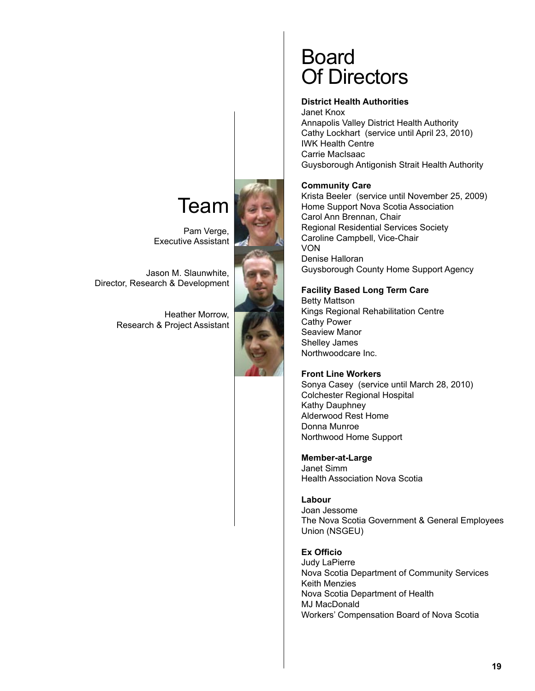## Team

Pam Verge, Executive Assistant

Jason M. Slaunwhite, Director, Research & Development

> Heather Morrow, Research & Project Assistant



## Board Of Directors

#### **District Health Authorities**

Janet Knox Annapolis Valley District Health Authority Cathy Lockhart (service until April 23, 2010) IWK Health Centre Carrie MacIsaac Guysborough Antigonish Strait Health Authority

#### **Community Care**

Krista Beeler (service until November 25, 2009) Home Support Nova Scotia Association Carol Ann Brennan, Chair Regional Residential Services Society Caroline Campbell, Vice-Chair VON Denise Halloran Guysborough County Home Support Agency

#### **Facility Based Long Term Care**

Betty Mattson Kings Regional Rehabilitation Centre Cathy Power Seaview Manor Shelley James Northwoodcare Inc.

#### **Front Line Workers**

Sonya Casey (service until March 28, 2010) Colchester Regional Hospital Kathy Dauphney Alderwood Rest Home Donna Munroe Northwood Home Support

**Member-at-Large** Janet Simm

#### Health Association Nova Scotia

**Labour** Joan Jessome The Nova Scotia Government & General Employees Union (NSGEU)

**Ex Officio**

Judy LaPierre Nova Scotia Department of Community Services Keith Menzies Nova Scotia Department of Health MJ MacDonald Workers' Compensation Board of Nova Scotia